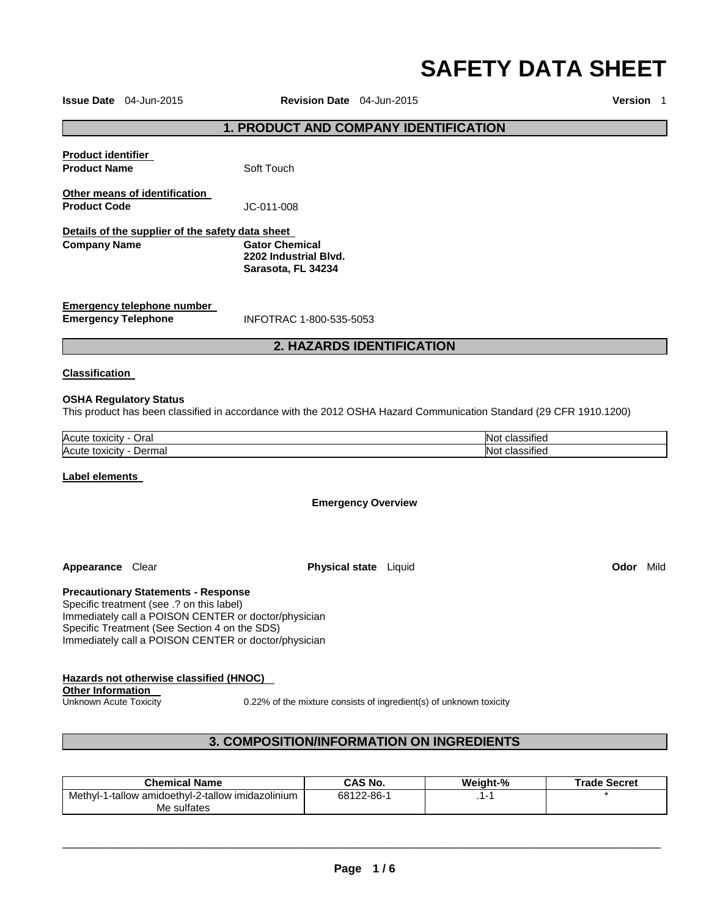# **SAFETY DATA SHEET**

**Issue Date** 04-Jun-2015 **Revision Date** 04-Jun-2015 **Version** 1

## **1. PRODUCT AND COMPANY IDENTIFICATION**

|                                                                         | <b>2. HAZARDS IDENTIFICATION</b>                                     |  |
|-------------------------------------------------------------------------|----------------------------------------------------------------------|--|
| Emergency telephone number<br><b>Emergency Telephone</b>                | INFOTRAC 1-800-535-5053                                              |  |
| Details of the supplier of the safety data sheet<br><b>Company Name</b> | <b>Gator Chemical</b><br>2202 Industrial Blvd.<br>Sarasota, FL 34234 |  |
| Other means of identification<br><b>Product Code</b>                    | JC-011-008                                                           |  |
| <b>Product identifier</b><br><b>Product Name</b>                        | Soft Touch                                                           |  |
|                                                                         |                                                                      |  |

# **Classification**

#### **OSHA Regulatory Status**

This product has been classified in accordance with the 2012 OSHA Hazard Communication Standard (29 CFR 1910.1200)

| Acute                       | $\cdots$   |
|-----------------------------|------------|
| Oral                        | N∩         |
| toxicity                    | classified |
| Acute                       | $\cdot$    |
| Dermal                      | N۸         |
| toxicity                    | classified |
| $\sim$ $\sim$ $\sim$ $\sim$ | .          |

#### **Label elements**

**Emergency Overview** 

**Appearance** Clear **Physical state** Liquid **Odor** Mild

**Precautionary Statements - Response**

Specific treatment (see .? on this label) Immediately call a POISON CENTER or doctor/physician Specific Treatment (See Section 4 on the SDS) Immediately call a POISON CENTER or doctor/physician

# **Hazards not otherwise classified (HNOC)**

**Other Information** 

Unknown Acute Toxicity 0.22% of the mixture consists of ingredient(s) of unknown toxicity

# **3. COMPOSITION/INFORMATION ON INGREDIENTS**

| <b>Chemical Name</b>                              | CAS No.    | Weiaht-% | <b>Trade Secret</b> |
|---------------------------------------------------|------------|----------|---------------------|
| Methyl-1-tallow amidoethyl-2-tallow imidazolinium | 68122-86-1 |          |                     |
| Me sulfates                                       |            |          |                     |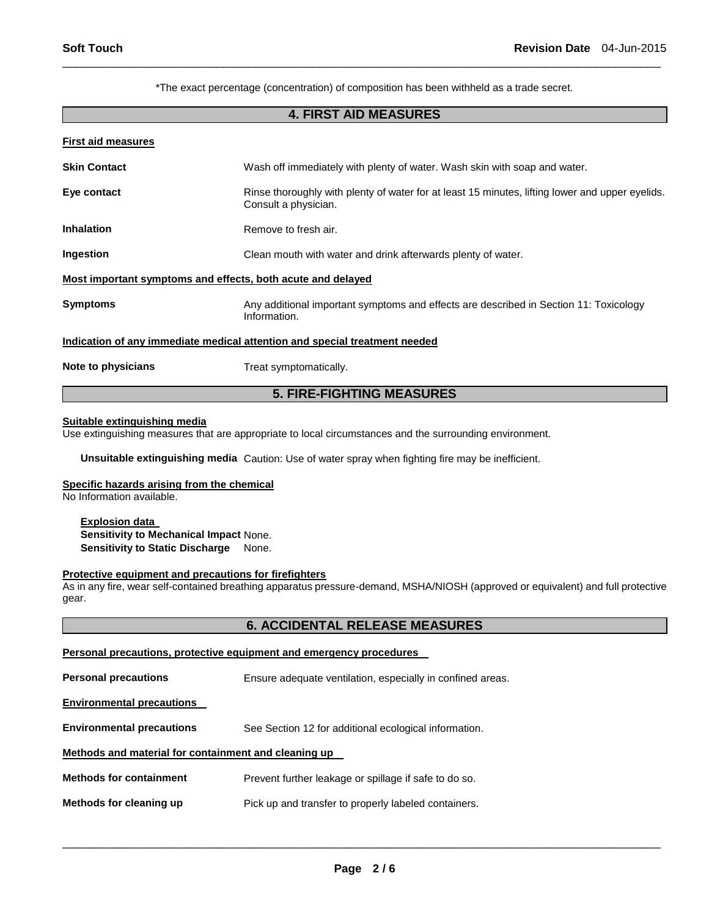\*The exact percentage (concentration) of composition has been withheld as a trade secret.

\_\_\_\_\_\_\_\_\_\_\_\_\_\_\_\_\_\_\_\_\_\_\_\_\_\_\_\_\_\_\_\_\_\_\_\_\_\_\_\_\_\_\_\_\_\_\_\_\_\_\_\_\_\_\_\_\_\_\_\_\_\_\_\_\_\_\_\_\_\_\_\_\_\_\_\_\_\_\_\_\_\_\_\_\_\_\_\_\_\_\_\_\_

# **4. FIRST AID MEASURES**

| <b>First aid measures</b>                                                  |                                                                                                                         |  |  |
|----------------------------------------------------------------------------|-------------------------------------------------------------------------------------------------------------------------|--|--|
| <b>Skin Contact</b>                                                        | Wash off immediately with plenty of water. Wash skin with soap and water.                                               |  |  |
| Eye contact                                                                | Rinse thoroughly with plenty of water for at least 15 minutes, lifting lower and upper eyelids.<br>Consult a physician. |  |  |
| <b>Inhalation</b>                                                          | Remove to fresh air.                                                                                                    |  |  |
| Ingestion                                                                  | Clean mouth with water and drink afterwards plenty of water.                                                            |  |  |
| Most important symptoms and effects, both acute and delayed                |                                                                                                                         |  |  |
| <b>Symptoms</b>                                                            | Any additional important symptoms and effects are described in Section 11: Toxicology<br>Information.                   |  |  |
| Indication of any immediate medical attention and special treatment needed |                                                                                                                         |  |  |
| Note to physicians                                                         | Treat symptomatically.                                                                                                  |  |  |

# **5. FIRE-FIGHTING MEASURES**

#### **Suitable extinguishing media**

Use extinguishing measures that are appropriate to local circumstances and the surrounding environment.

**Unsuitable extinguishing media** Caution: Use of water spray when fighting fire may be inefficient.

#### **Specific hazards arising from the chemical**

No Information available.

#### **Explosion data Sensitivity to Mechanical Impact** None. **Sensitivity to Static Discharge** None.

#### **Protective equipment and precautions for firefighters**

As in any fire, wear self-contained breathing apparatus pressure-demand, MSHA/NIOSH (approved or equivalent) and full protective gear.

# **6. ACCIDENTAL RELEASE MEASURES**

## **Personal precautions, protective equipment and emergency procedures**

| <b>Personal precautions</b>                          | Ensure adequate ventilation, especially in confined areas. |  |  |
|------------------------------------------------------|------------------------------------------------------------|--|--|
| <b>Environmental precautions</b>                     |                                                            |  |  |
| <b>Environmental precautions</b>                     | See Section 12 for additional ecological information.      |  |  |
| Methods and material for containment and cleaning up |                                                            |  |  |
| <b>Methods for containment</b>                       | Prevent further leakage or spillage if safe to do so.      |  |  |
| Methods for cleaning up                              | Pick up and transfer to properly labeled containers.       |  |  |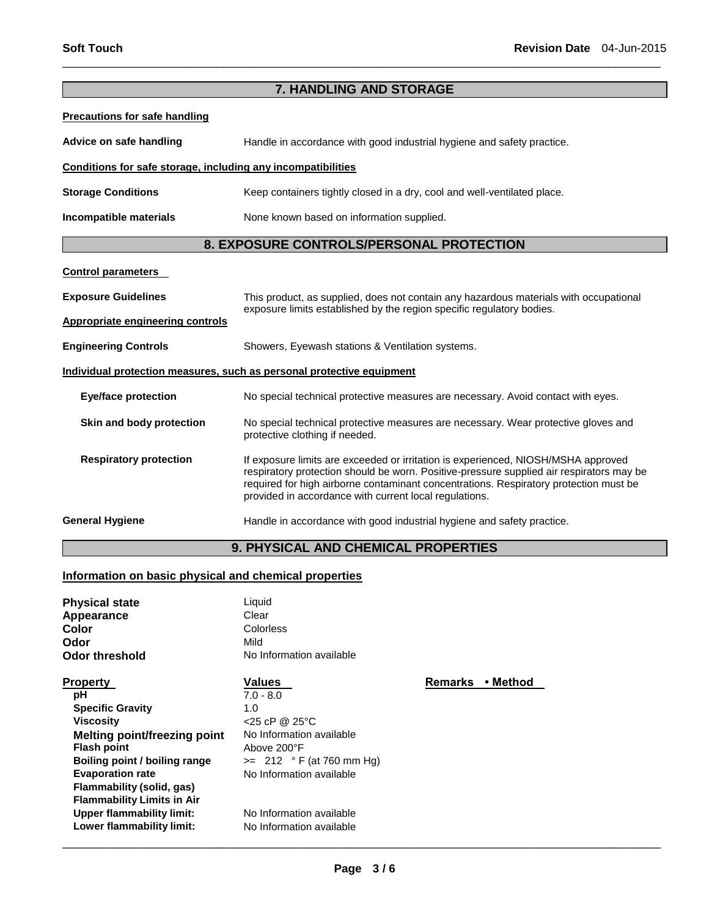| 7. HANDLING AND STORAGE                                               |                                                                                                                                                                                                                                                                                                                                  |  |  |
|-----------------------------------------------------------------------|----------------------------------------------------------------------------------------------------------------------------------------------------------------------------------------------------------------------------------------------------------------------------------------------------------------------------------|--|--|
| <b>Precautions for safe handling</b>                                  |                                                                                                                                                                                                                                                                                                                                  |  |  |
| Advice on safe handling                                               | Handle in accordance with good industrial hygiene and safety practice.                                                                                                                                                                                                                                                           |  |  |
| Conditions for safe storage, including any incompatibilities          |                                                                                                                                                                                                                                                                                                                                  |  |  |
| <b>Storage Conditions</b>                                             | Keep containers tightly closed in a dry, cool and well-ventilated place.                                                                                                                                                                                                                                                         |  |  |
| Incompatible materials                                                | None known based on information supplied.                                                                                                                                                                                                                                                                                        |  |  |
|                                                                       | 8. EXPOSURE CONTROLS/PERSONAL PROTECTION                                                                                                                                                                                                                                                                                         |  |  |
| <b>Control parameters</b>                                             |                                                                                                                                                                                                                                                                                                                                  |  |  |
| <b>Exposure Guidelines</b>                                            | This product, as supplied, does not contain any hazardous materials with occupational<br>exposure limits established by the region specific regulatory bodies.                                                                                                                                                                   |  |  |
| <b>Appropriate engineering controls</b>                               |                                                                                                                                                                                                                                                                                                                                  |  |  |
| <b>Engineering Controls</b>                                           | Showers, Eyewash stations & Ventilation systems.                                                                                                                                                                                                                                                                                 |  |  |
| Individual protection measures, such as personal protective equipment |                                                                                                                                                                                                                                                                                                                                  |  |  |
| <b>Eye/face protection</b>                                            | No special technical protective measures are necessary. Avoid contact with eyes.                                                                                                                                                                                                                                                 |  |  |
| Skin and body protection                                              | No special technical protective measures are necessary. Wear protective gloves and<br>protective clothing if needed.                                                                                                                                                                                                             |  |  |
| <b>Respiratory protection</b>                                         | If exposure limits are exceeded or irritation is experienced, NIOSH/MSHA approved<br>respiratory protection should be worn. Positive-pressure supplied air respirators may be<br>required for high airborne contaminant concentrations. Respiratory protection must be<br>provided in accordance with current local regulations. |  |  |
| <b>General Hygiene</b>                                                | Handle in accordance with good industrial hygiene and safety practice.                                                                                                                                                                                                                                                           |  |  |
| <b>9. PHYSICAL AND CHEMICAL PROPERTIES</b>                            |                                                                                                                                                                                                                                                                                                                                  |  |  |

\_\_\_\_\_\_\_\_\_\_\_\_\_\_\_\_\_\_\_\_\_\_\_\_\_\_\_\_\_\_\_\_\_\_\_\_\_\_\_\_\_\_\_\_\_\_\_\_\_\_\_\_\_\_\_\_\_\_\_\_\_\_\_\_\_\_\_\_\_\_\_\_\_\_\_\_\_\_\_\_\_\_\_\_\_\_\_\_\_\_\_\_\_

# **Information on basic physical and chemical properties**

| <b>Physical state</b><br>Appearance<br>Color<br>Odor<br><b>Odor threshold</b>                                                                                                                                                                                                                                                    | Liquid<br>Clear<br>Colorless<br>Mild<br>No Information available                                                                                                                                                               |                            |
|----------------------------------------------------------------------------------------------------------------------------------------------------------------------------------------------------------------------------------------------------------------------------------------------------------------------------------|--------------------------------------------------------------------------------------------------------------------------------------------------------------------------------------------------------------------------------|----------------------------|
| <b>Property</b><br>рH<br><b>Specific Gravity</b><br><b>Viscosity</b><br><b>Melting point/freezing point</b><br><b>Flash point</b><br>Boiling point / boiling range<br><b>Evaporation rate</b><br>Flammability (solid, gas)<br><b>Flammability Limits in Air</b><br><b>Upper flammability limit:</b><br>Lower flammability limit: | <b>Values</b><br>$7.0 - 8.0$<br>1.0<br>$<$ 25 cP @ 25 $\degree$ C<br>No Information available<br>Above 200°F<br>$>= 212 °F (at 760 mm Hg)$<br>No Information available<br>No Information available<br>No Information available | <b>Remarks</b><br>∙ Method |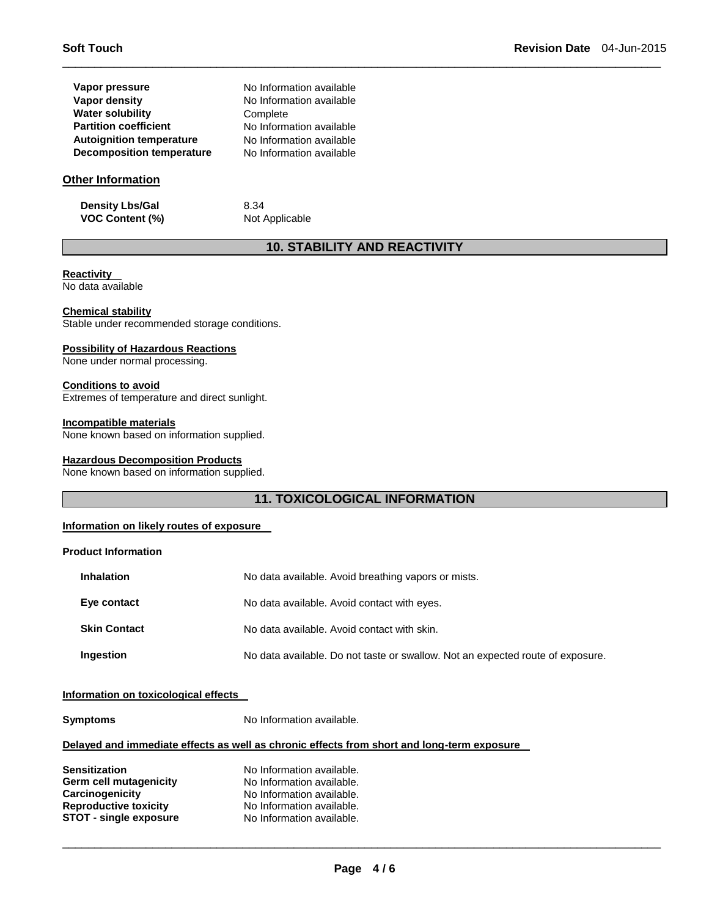| Vapor pressure                   | No Information available |
|----------------------------------|--------------------------|
| Vapor density                    | No Information available |
| <b>Water solubility</b>          | Complete                 |
| <b>Partition coefficient</b>     | No Information available |
| <b>Autoignition temperature</b>  | No Information available |
| <b>Decomposition temperature</b> | No Information available |

## **Other Information**

**Density Lbs/Gal** 8.34 **VOC Content (%)** Not Applicable

# **10. STABILITY AND REACTIVITY**

\_\_\_\_\_\_\_\_\_\_\_\_\_\_\_\_\_\_\_\_\_\_\_\_\_\_\_\_\_\_\_\_\_\_\_\_\_\_\_\_\_\_\_\_\_\_\_\_\_\_\_\_\_\_\_\_\_\_\_\_\_\_\_\_\_\_\_\_\_\_\_\_\_\_\_\_\_\_\_\_\_\_\_\_\_\_\_\_\_\_\_\_\_

# **Reactivity**

No data available

## **Chemical stability**

Stable under recommended storage conditions.

## **Possibility of Hazardous Reactions**

None under normal processing.

#### **Conditions to avoid**

Extremes of temperature and direct sunlight.

#### **Incompatible materials**

None known based on information supplied.

#### **Hazardous Decomposition Products**

None known based on information supplied.

# **11. TOXICOLOGICAL INFORMATION**

#### **Information on likely routes of exposure**

## **Product Information**

| <b>Inhalation</b>   | No data available. Avoid breathing vapors or mists.                            |
|---------------------|--------------------------------------------------------------------------------|
| Eye contact         | No data available. Avoid contact with eyes.                                    |
| <b>Skin Contact</b> | No data available. Avoid contact with skin.                                    |
| Ingestion           | No data available. Do not taste or swallow. Not an expected route of exposure. |

## **Information on toxicological effects**

| <b>Symptoms</b>                                                                                                                    | No Information available.                                                                                                                     |  |
|------------------------------------------------------------------------------------------------------------------------------------|-----------------------------------------------------------------------------------------------------------------------------------------------|--|
|                                                                                                                                    | Delayed and immediate effects as well as chronic effects from short and long-term exposure                                                    |  |
| <b>Sensitization</b><br>Germ cell mutagenicity<br>Carcinogenicity<br><b>Reproductive toxicity</b><br><b>STOT - single exposure</b> | No Information available.<br>No Information available.<br>No Information available.<br>No Information available.<br>No Information available. |  |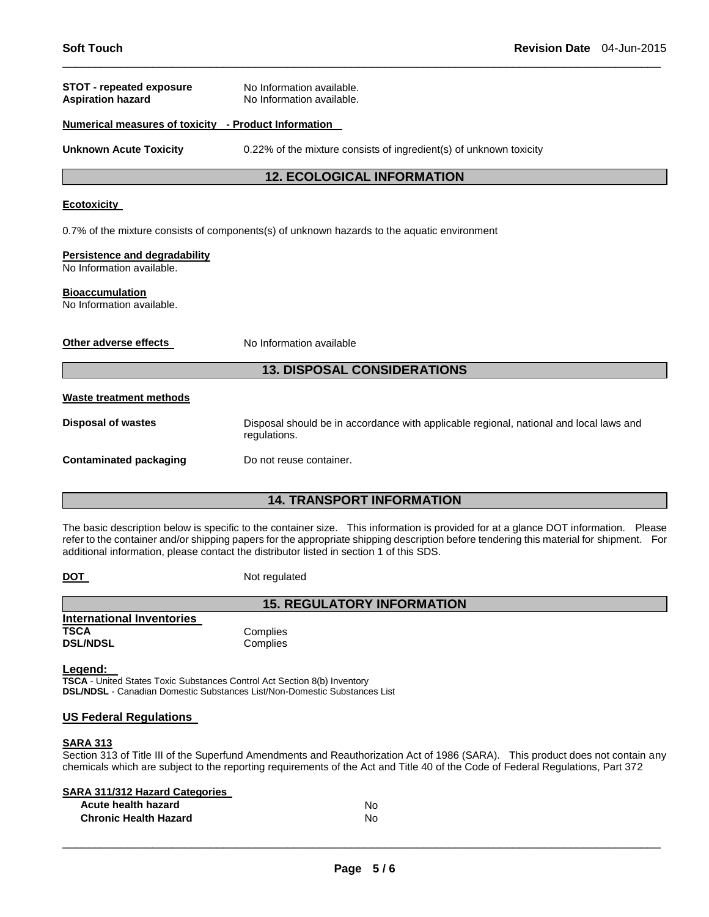| <b>STOT - repeated exposure</b><br><b>Aspiration hazard</b> | No Information available.<br>No Information available.                                                 |  |
|-------------------------------------------------------------|--------------------------------------------------------------------------------------------------------|--|
| Numerical measures of toxicity - Product Information        |                                                                                                        |  |
| <b>Unknown Acute Toxicity</b>                               | 0.22% of the mixture consists of ingredient(s) of unknown toxicity                                     |  |
|                                                             | <b>12. ECOLOGICAL INFORMATION</b>                                                                      |  |
| <b>Ecotoxicity</b>                                          |                                                                                                        |  |
|                                                             | 0.7% of the mixture consists of components(s) of unknown hazards to the aquatic environment            |  |
| Persistence and degradability<br>No Information available.  |                                                                                                        |  |
| <b>Bioaccumulation</b><br>No Information available.         |                                                                                                        |  |
| Other adverse effects                                       | No Information available                                                                               |  |
|                                                             | <b>13. DISPOSAL CONSIDERATIONS</b>                                                                     |  |
| Waste treatment methods                                     |                                                                                                        |  |
| <b>Disposal of wastes</b>                                   | Disposal should be in accordance with applicable regional, national and local laws and<br>regulations. |  |
| <b>Contaminated packaging</b>                               | Do not reuse container.                                                                                |  |
| <b>14. TRANSPORT INFORMATION</b>                            |                                                                                                        |  |

\_\_\_\_\_\_\_\_\_\_\_\_\_\_\_\_\_\_\_\_\_\_\_\_\_\_\_\_\_\_\_\_\_\_\_\_\_\_\_\_\_\_\_\_\_\_\_\_\_\_\_\_\_\_\_\_\_\_\_\_\_\_\_\_\_\_\_\_\_\_\_\_\_\_\_\_\_\_\_\_\_\_\_\_\_\_\_\_\_\_\_\_\_

The basic description below is specific to the container size. This information is provided for at a glance DOT information. Please refer to the container and/or shipping papers for the appropriate shipping description before tendering this material for shipment. For additional information, please contact the distributor listed in section 1 of this SDS.

**15. REGULATORY INFORMATION** 

**DOT** Not regulated

| International Inventories |  |
|---------------------------|--|
| TSCA                      |  |
| <b>DSL/NDSL</b>           |  |

**Complies Complies** 

**Legend:** 

**TSCA** - United States Toxic Substances Control Act Section 8(b) Inventory **DSL/NDSL** - Canadian Domestic Substances List/Non-Domestic Substances List

## **US Federal Regulations**

# **SARA 313**

Section 313 of Title III of the Superfund Amendments and Reauthorization Act of 1986 (SARA). This product does not contain any chemicals which are subject to the reporting requirements of the Act and Title 40 of the Code of Federal Regulations, Part 372

## **SARA 311/312 Hazard Categories**

| Acute health hazard          | N٥ |
|------------------------------|----|
| <b>Chronic Health Hazard</b> | No |